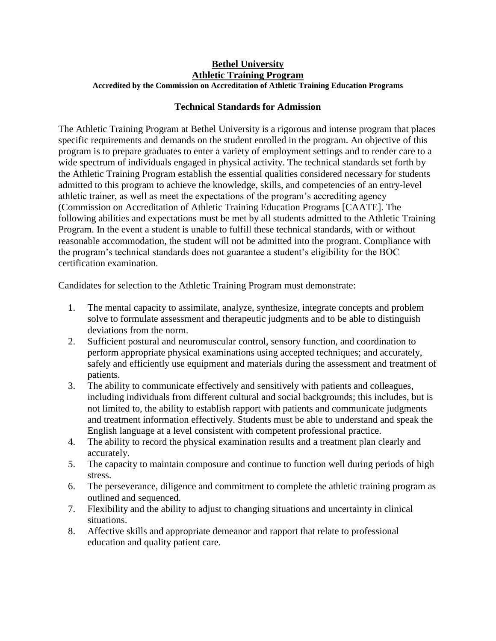## **Bethel University Athletic Training Program Accredited by the Commission on Accreditation of Athletic Training Education Programs**

## **Technical Standards for Admission**

The Athletic Training Program at Bethel University is a rigorous and intense program that places specific requirements and demands on the student enrolled in the program. An objective of this program is to prepare graduates to enter a variety of employment settings and to render care to a wide spectrum of individuals engaged in physical activity. The technical standards set forth by the Athletic Training Program establish the essential qualities considered necessary for students admitted to this program to achieve the knowledge, skills, and competencies of an entry-level athletic trainer, as well as meet the expectations of the program's accrediting agency (Commission on Accreditation of Athletic Training Education Programs [CAATE]. The following abilities and expectations must be met by all students admitted to the Athletic Training Program. In the event a student is unable to fulfill these technical standards, with or without reasonable accommodation, the student will not be admitted into the program. Compliance with the program's technical standards does not guarantee a student's eligibility for the BOC certification examination.

Candidates for selection to the Athletic Training Program must demonstrate:

- 1. The mental capacity to assimilate, analyze, synthesize, integrate concepts and problem solve to formulate assessment and therapeutic judgments and to be able to distinguish deviations from the norm.
- 2. Sufficient postural and neuromuscular control, sensory function, and coordination to perform appropriate physical examinations using accepted techniques; and accurately, safely and efficiently use equipment and materials during the assessment and treatment of patients.
- 3. The ability to communicate effectively and sensitively with patients and colleagues, including individuals from different cultural and social backgrounds; this includes, but is not limited to, the ability to establish rapport with patients and communicate judgments and treatment information effectively. Students must be able to understand and speak the English language at a level consistent with competent professional practice.
- 4. The ability to record the physical examination results and a treatment plan clearly and accurately.
- 5. The capacity to maintain composure and continue to function well during periods of high stress.
- 6. The perseverance, diligence and commitment to complete the athletic training program as outlined and sequenced.
- 7. Flexibility and the ability to adjust to changing situations and uncertainty in clinical situations.
- 8. Affective skills and appropriate demeanor and rapport that relate to professional education and quality patient care.